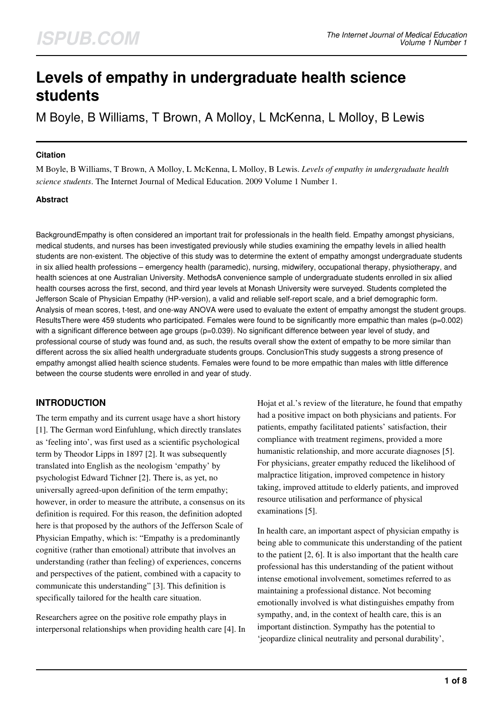# **Levels of empathy in undergraduate health science students**

M Boyle, B Williams, T Brown, A Molloy, L McKenna, L Molloy, B Lewis

#### **Citation**

M Boyle, B Williams, T Brown, A Molloy, L McKenna, L Molloy, B Lewis. *Levels of empathy in undergraduate health science students*. The Internet Journal of Medical Education. 2009 Volume 1 Number 1.

#### **Abstract**

BackgroundEmpathy is often considered an important trait for professionals in the health field. Empathy amongst physicians, medical students, and nurses has been investigated previously while studies examining the empathy levels in allied health students are non-existent. The objective of this study was to determine the extent of empathy amongst undergraduate students in six allied health professions – emergency health (paramedic), nursing, midwifery, occupational therapy, physiotherapy, and health sciences at one Australian University. MethodsA convenience sample of undergraduate students enrolled in six allied health courses across the first, second, and third year levels at Monash University were surveyed. Students completed the Jefferson Scale of Physician Empathy (HP-version), a valid and reliable self-report scale, and a brief demographic form. Analysis of mean scores, t-test, and one-way ANOVA were used to evaluate the extent of empathy amongst the student groups. ResultsThere were 459 students who participated. Females were found to be significantly more empathic than males (p=0.002) with a significant difference between age groups (p=0.039). No significant difference between year level of study, and professional course of study was found and, as such, the results overall show the extent of empathy to be more similar than different across the six allied health undergraduate students groups. ConclusionThis study suggests a strong presence of empathy amongst allied health science students. Females were found to be more empathic than males with little difference between the course students were enrolled in and year of study.

# **INTRODUCTION**

The term empathy and its current usage have a short history [1]. The German word Einfuhlung, which directly translates as 'feeling into', was first used as a scientific psychological term by Theodor Lipps in 1897 [2]. It was subsequently translated into English as the neologism 'empathy' by psychologist Edward Tichner [2]. There is, as yet, no universally agreed-upon definition of the term empathy; however, in order to measure the attribute, a consensus on its definition is required. For this reason, the definition adopted here is that proposed by the authors of the Jefferson Scale of Physician Empathy, which is: "Empathy is a predominantly cognitive (rather than emotional) attribute that involves an understanding (rather than feeling) of experiences, concerns and perspectives of the patient, combined with a capacity to communicate this understanding" [3]. This definition is specifically tailored for the health care situation.

Researchers agree on the positive role empathy plays in interpersonal relationships when providing health care [4]. In Hojat et al.'s review of the literature, he found that empathy had a positive impact on both physicians and patients. For patients, empathy facilitated patients' satisfaction, their compliance with treatment regimens, provided a more humanistic relationship, and more accurate diagnoses [5]. For physicians, greater empathy reduced the likelihood of malpractice litigation, improved competence in history taking, improved attitude to elderly patients, and improved resource utilisation and performance of physical examinations [5].

In health care, an important aspect of physician empathy is being able to communicate this understanding of the patient to the patient [2, 6]. It is also important that the health care professional has this understanding of the patient without intense emotional involvement, sometimes referred to as maintaining a professional distance. Not becoming emotionally involved is what distinguishes empathy from sympathy, and, in the context of health care, this is an important distinction. Sympathy has the potential to 'jeopardize clinical neutrality and personal durability',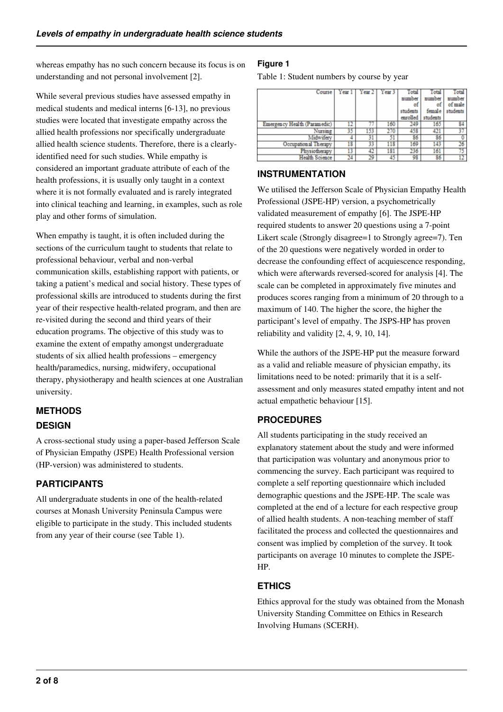whereas empathy has no such concern because its focus is on understanding and not personal involvement [2].

While several previous studies have assessed empathy in medical students and medical interns [6-13], no previous studies were located that investigate empathy across the allied health professions nor specifically undergraduate allied health science students. Therefore, there is a clearlyidentified need for such studies. While empathy is considered an important graduate attribute of each of the health professions, it is usually only taught in a context where it is not formally evaluated and is rarely integrated into clinical teaching and learning, in examples, such as role play and other forms of simulation.

When empathy is taught, it is often included during the sections of the curriculum taught to students that relate to professional behaviour, verbal and non-verbal communication skills, establishing rapport with patients, or taking a patient's medical and social history. These types of professional skills are introduced to students during the first year of their respective health-related program, and then are re-visited during the second and third years of their education programs. The objective of this study was to examine the extent of empathy amongst undergraduate students of six allied health professions – emergency health/paramedics, nursing, midwifery, occupational therapy, physiotherapy and health sciences at one Australian university.

# **METHODS DESIGN**

A cross-sectional study using a paper-based Jefferson Scale of Physician Empathy (JSPE) Health Professional version (HP-version) was administered to students.

# **PARTICIPANTS**

All undergraduate students in one of the health-related courses at Monash University Peninsula Campus were eligible to participate in the study. This included students from any year of their course (see Table 1).

## **Figure 1**

Table 1: Student numbers by course by year

| Course                       | Year 1 | Year 2 | Year <sub>3</sub> |          |          | Total    |
|------------------------------|--------|--------|-------------------|----------|----------|----------|
|                              |        |        |                   | number   | number   | number   |
|                              |        |        |                   | ot       | ot       | of male  |
|                              |        |        |                   | students | female   | students |
|                              |        |        |                   | enrolled | students |          |
| Emergency Health (Paramedic) | 12     |        | 160               | 249      | 165      | 84       |
| Nursing                      |        |        |                   | 458      | 421      |          |
| Midwiferv                    |        |        |                   | 86       | 86       |          |
| Occupational Therapy         | 18     |        | 118               | 169      | 143      | 26       |
| Physiotherapy                | 13     |        | 181               | 236      | 161      |          |
| Health Science               |        |        | 45                | 98       | 86       |          |

### **INSTRUMENTATION**

We utilised the Jefferson Scale of Physician Empathy Health Professional (JSPE-HP) version, a psychometrically validated measurement of empathy [6]. The JSPE-HP required students to answer 20 questions using a 7-point Likert scale (Strongly disagree=1 to Strongly agree=7). Ten of the 20 questions were negatively worded in order to decrease the confounding effect of acquiescence responding, which were afterwards reversed-scored for analysis [4]. The scale can be completed in approximately five minutes and produces scores ranging from a minimum of 20 through to a maximum of 140. The higher the score, the higher the participant's level of empathy. The JSPS-HP has proven reliability and validity [2, 4, 9, 10, 14].

While the authors of the JSPE-HP put the measure forward as a valid and reliable measure of physician empathy, its limitations need to be noted: primarily that it is a selfassessment and only measures stated empathy intent and not actual empathetic behaviour [15].

# **PROCEDURES**

All students participating in the study received an explanatory statement about the study and were informed that participation was voluntary and anonymous prior to commencing the survey. Each participant was required to complete a self reporting questionnaire which included demographic questions and the JSPE-HP. The scale was completed at the end of a lecture for each respective group of allied health students. A non-teaching member of staff facilitated the process and collected the questionnaires and consent was implied by completion of the survey. It took participants on average 10 minutes to complete the JSPE-HP.

# **ETHICS**

Ethics approval for the study was obtained from the Monash University Standing Committee on Ethics in Research Involving Humans (SCERH).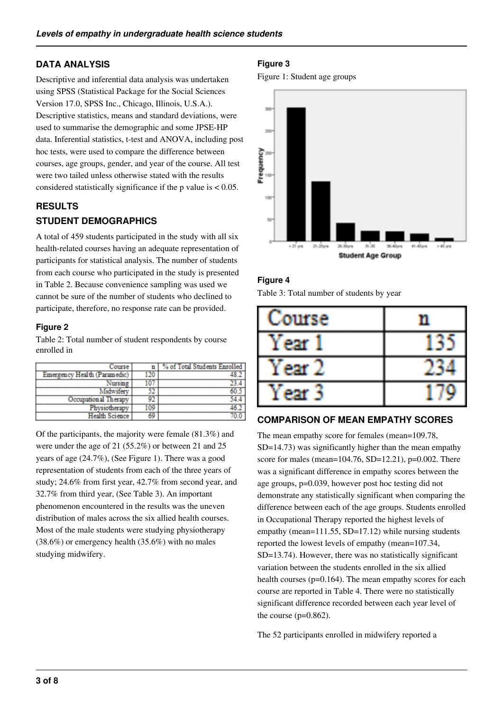# **DATA ANALYSIS**

Descriptive and inferential data analysis was undertaken using SPSS (Statistical Package for the Social Sciences Version 17.0, SPSS Inc., Chicago, Illinois, U.S.A.). Descriptive statistics, means and standard deviations, were used to summarise the demographic and some JPSE-HP data. Inferential statistics, t-test and ANOVA, including post hoc tests, were used to compare the difference between courses, age groups, gender, and year of the course. All test were two tailed unless otherwise stated with the results considered statistically significance if the p value is  $< 0.05$ .

# **RESULTS STUDENT DEMOGRAPHICS**

A total of 459 students participated in the study with all six health-related courses having an adequate representation of participants for statistical analysis. The number of students from each course who participated in the study is presented in Table 2. Because convenience sampling was used we cannot be sure of the number of students who declined to participate, therefore, no response rate can be provided.

#### **Figure 2**

Table 2: Total number of student respondents by course enrolled in

| Course                       |     | % of Total Students Enrolled |
|------------------------------|-----|------------------------------|
| Emergency Health (Paramedic) |     |                              |
| Nursing                      |     |                              |
| Midwifery                    |     |                              |
| Occupational Therapy         |     |                              |
| Physiotherapy                | 109 |                              |
| <b>Health Science</b>        |     |                              |

Of the participants, the majority were female (81.3%) and were under the age of 21 (55.2%) or between 21 and 25 years of age (24.7%), (See Figure 1). There was a good representation of students from each of the three years of study; 24.6% from first year, 42.7% from second year, and 32.7% from third year, (See Table 3). An important phenomenon encountered in the results was the uneven distribution of males across the six allied health courses. Most of the male students were studying physiotherapy (38.6%) or emergency health (35.6%) with no males studying midwifery.

# **Figure 3**

Figure 1: Student age groups



# **Figure 4**

Table 3: Total number of students by year

| ourse |  |
|-------|--|
| ear   |  |
| ear   |  |
| P21   |  |

# **COMPARISON OF MEAN EMPATHY SCORES**

The mean empathy score for females (mean=109.78, SD=14.73) was significantly higher than the mean empathy score for males (mean= $104.76$ , SD= $12.21$ ), p= $0.002$ . There was a significant difference in empathy scores between the age groups, p=0.039, however post hoc testing did not demonstrate any statistically significant when comparing the difference between each of the age groups. Students enrolled in Occupational Therapy reported the highest levels of empathy (mean=111.55, SD=17.12) while nursing students reported the lowest levels of empathy (mean=107.34, SD=13.74). However, there was no statistically significant variation between the students enrolled in the six allied health courses (p=0.164). The mean empathy scores for each course are reported in Table 4. There were no statistically significant difference recorded between each year level of the course (p=0.862).

The 52 participants enrolled in midwifery reported a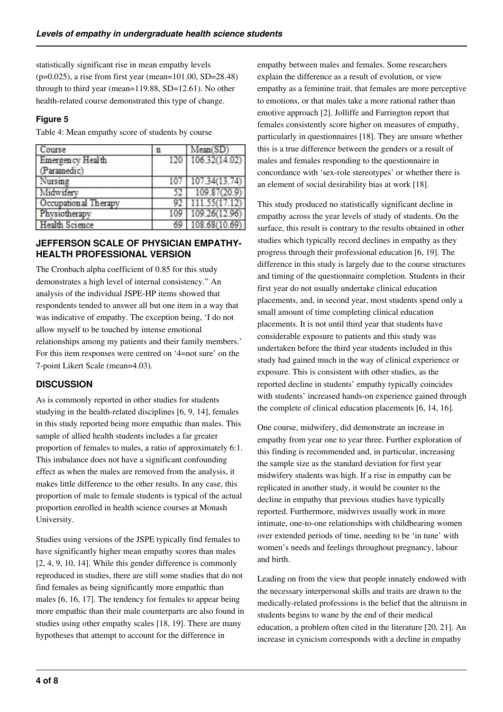statistically significant rise in mean empathy levels (p=0.025), a rise from first year (mean=101.00, SD=28.48) through to third year (mean=119.88, SD=12.61). No other health-related course demonstrated this type of change.

#### **Figure 5**

Table 4: Mean empathy score of students by course

| Course                  | n    | Mean(SD)          |
|-------------------------|------|-------------------|
| <b>Emergency Health</b> |      | 120 106.32(14.02) |
| Paramedic)              |      |                   |
| Nursing                 | 107  | 107.34(13.74)     |
| Midwifery               |      | 109.87(20.9)      |
| Occupational Therapy    |      | 111.55(17.12)     |
| Physiotherapy           | 109  | 109.26(12.96)     |
| <b>Health Science</b>   | 69 I | 108.68(10.69)     |

### **JEFFERSON SCALE OF PHYSICIAN EMPATHY-HEALTH PROFESSIONAL VERSION**

The Cronbach alpha coefficient of 0.85 for this study demonstrates a high level of internal consistency." An analysis of the individual JSPE-HP items showed that respondents tended to answer all but one item in a way that was indicative of empathy. The exception being, 'I do not allow myself to be touched by intense emotional relationships among my patients and their family members.' For this item responses were centred on '4=not sure' on the 7-point Likert Scale (mean=4.03).

# **DISCUSSION**

As is commonly reported in other studies for students studying in the health-related disciplines [6, 9, 14], females in this study reported being more empathic than males. This sample of allied health students includes a far greater proportion of females to males, a ratio of approximately 6:1. This imbalance does not have a significant confounding effect as when the males are removed from the analysis, it makes little difference to the other results. In any case, this proportion of male to female students is typical of the actual proportion enrolled in health science courses at Monash University.

Studies using versions of the JSPE typically find females to have significantly higher mean empathy scores than males [2, 4, 9, 10, 14]. While this gender difference is commonly reproduced in studies, there are still some studies that do not find females as being significantly more empathic than males [6, 16, 17]. The tendency for females to appear being more empathic than their male counterparts are also found in studies using other empathy scales [18, 19]. There are many hypotheses that attempt to account for the difference in

empathy between males and females. Some researchers explain the difference as a result of evolution, or view empathy as a feminine trait, that females are more perceptive to emotions, or that males take a more rational rather than emotive approach [2]. Jolliffe and Farrington report that females consistently score higher on measures of empathy, particularly in questionnaires [18]. They are unsure whether this is a true difference between the genders or a result of males and females responding to the questionnaire in concordance with 'sex-role stereotypes' or whether there is an element of social desirability bias at work [18].

This study produced no statistically significant decline in empathy across the year levels of study of students. On the surface, this result is contrary to the results obtained in other studies which typically record declines in empathy as they progress through their professional education [6, 19]. The difference in this study is largely due to the course structures and timing of the questionnaire completion. Students in their first year do not usually undertake clinical education placements, and, in second year, most students spend only a small amount of time completing clinical education placements. It is not until third year that students have considerable exposure to patients and this study was undertaken before the third year students included in this study had gained much in the way of clinical experience or exposure. This is consistent with other studies, as the reported decline in students' empathy typically coincides with students' increased hands-on experience gained through the complete of clinical education placements [6, 14, 16].

One course, midwifery, did demonstrate an increase in empathy from year one to year three. Further exploration of this finding is recommended and, in particular, increasing the sample size as the standard deviation for first year midwifery students was high. If a rise in empathy can be replicated in another study, it would be counter to the decline in empathy that previous studies have typically reported. Furthermore, midwives usually work in more intimate, one-to-one relationships with childbearing women over extended periods of time, needing to be 'in tune' with women's needs and feelings throughout pregnancy, labour and birth.

Leading on from the view that people innately endowed with the necessary interpersonal skills and traits are drawn to the medically-related professions is the belief that the altruism in students begins to wane by the end of their medical education, a problem often cited in the literature [20, 21]. An increase in cynicism corresponds with a decline in empathy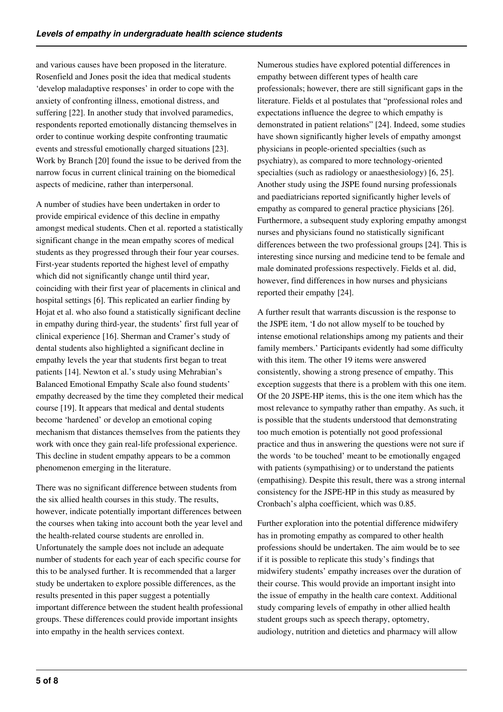and various causes have been proposed in the literature. Rosenfield and Jones posit the idea that medical students 'develop maladaptive responses' in order to cope with the anxiety of confronting illness, emotional distress, and suffering [22]. In another study that involved paramedics, respondents reported emotionally distancing themselves in order to continue working despite confronting traumatic events and stressful emotionally charged situations [23]. Work by Branch [20] found the issue to be derived from the narrow focus in current clinical training on the biomedical aspects of medicine, rather than interpersonal.

A number of studies have been undertaken in order to provide empirical evidence of this decline in empathy amongst medical students. Chen et al. reported a statistically significant change in the mean empathy scores of medical students as they progressed through their four year courses. First-year students reported the highest level of empathy which did not significantly change until third year, coinciding with their first year of placements in clinical and hospital settings [6]. This replicated an earlier finding by Hojat et al. who also found a statistically significant decline in empathy during third-year, the students' first full year of clinical experience [16]. Sherman and Cramer's study of dental students also highlighted a significant decline in empathy levels the year that students first began to treat patients [14]. Newton et al.'s study using Mehrabian's Balanced Emotional Empathy Scale also found students' empathy decreased by the time they completed their medical course [19]. It appears that medical and dental students become 'hardened' or develop an emotional coping mechanism that distances themselves from the patients they work with once they gain real-life professional experience. This decline in student empathy appears to be a common phenomenon emerging in the literature.

There was no significant difference between students from the six allied health courses in this study. The results, however, indicate potentially important differences between the courses when taking into account both the year level and the health-related course students are enrolled in. Unfortunately the sample does not include an adequate number of students for each year of each specific course for this to be analysed further. It is recommended that a larger study be undertaken to explore possible differences, as the results presented in this paper suggest a potentially important difference between the student health professional groups. These differences could provide important insights into empathy in the health services context.

Numerous studies have explored potential differences in empathy between different types of health care professionals; however, there are still significant gaps in the literature. Fields et al postulates that "professional roles and expectations influence the degree to which empathy is demonstrated in patient relations" [24]. Indeed, some studies have shown significantly higher levels of empathy amongst physicians in people-oriented specialties (such as psychiatry), as compared to more technology-oriented specialties (such as radiology or anaesthesiology) [6, 25]. Another study using the JSPE found nursing professionals and paediatricians reported significantly higher levels of empathy as compared to general practice physicians [26]. Furthermore, a subsequent study exploring empathy amongst nurses and physicians found no statistically significant differences between the two professional groups [24]. This is interesting since nursing and medicine tend to be female and male dominated professions respectively. Fields et al. did, however, find differences in how nurses and physicians reported their empathy [24].

A further result that warrants discussion is the response to the JSPE item, 'I do not allow myself to be touched by intense emotional relationships among my patients and their family members.' Participants evidently had some difficulty with this item. The other 19 items were answered consistently, showing a strong presence of empathy. This exception suggests that there is a problem with this one item. Of the 20 JSPE-HP items, this is the one item which has the most relevance to sympathy rather than empathy. As such, it is possible that the students understood that demonstrating too much emotion is potentially not good professional practice and thus in answering the questions were not sure if the words 'to be touched' meant to be emotionally engaged with patients (sympathising) or to understand the patients (empathising). Despite this result, there was a strong internal consistency for the JSPE-HP in this study as measured by Cronbach's alpha coefficient, which was 0.85.

Further exploration into the potential difference midwifery has in promoting empathy as compared to other health professions should be undertaken. The aim would be to see if it is possible to replicate this study's findings that midwifery students' empathy increases over the duration of their course. This would provide an important insight into the issue of empathy in the health care context. Additional study comparing levels of empathy in other allied health student groups such as speech therapy, optometry, audiology, nutrition and dietetics and pharmacy will allow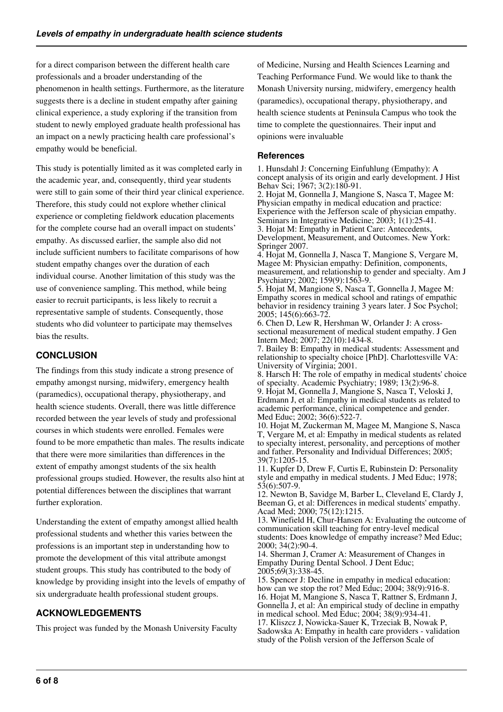for a direct comparison between the different health care professionals and a broader understanding of the phenomenon in health settings. Furthermore, as the literature suggests there is a decline in student empathy after gaining clinical experience, a study exploring if the transition from student to newly employed graduate health professional has an impact on a newly practicing health care professional's empathy would be beneficial.

This study is potentially limited as it was completed early in the academic year, and, consequently, third year students were still to gain some of their third year clinical experience. Therefore, this study could not explore whether clinical experience or completing fieldwork education placements for the complete course had an overall impact on students' empathy. As discussed earlier, the sample also did not include sufficient numbers to facilitate comparisons of how student empathy changes over the duration of each individual course. Another limitation of this study was the use of convenience sampling. This method, while being easier to recruit participants, is less likely to recruit a representative sample of students. Consequently, those students who did volunteer to participate may themselves bias the results.

# **CONCLUSION**

The findings from this study indicate a strong presence of empathy amongst nursing, midwifery, emergency health (paramedics), occupational therapy, physiotherapy, and health science students. Overall, there was little difference recorded between the year levels of study and professional courses in which students were enrolled. Females were found to be more empathetic than males. The results indicate that there were more similarities than differences in the extent of empathy amongst students of the six health professional groups studied. However, the results also hint at potential differences between the disciplines that warrant further exploration.

Understanding the extent of empathy amongst allied health professional students and whether this varies between the professions is an important step in understanding how to promote the development of this vital attribute amongst student groups. This study has contributed to the body of knowledge by providing insight into the levels of empathy of six undergraduate health professional student groups.

# **ACKNOWLEDGEMENTS**

This project was funded by the Monash University Faculty

of Medicine, Nursing and Health Sciences Learning and Teaching Performance Fund. We would like to thank the Monash University nursing, midwifery, emergency health (paramedics), occupational therapy, physiotherapy, and health science students at Peninsula Campus who took the time to complete the questionnaires. Their input and opinions were invaluable

#### **References**

1. Hunsdahl J: Concerning Einfuhlung (Empathy): A concept analysis of its origin and early development. J Hist Behav Sci; 1967; 3(2):180-91.

2. Hojat M, Gonnella J, Mangione S, Nasca T, Magee M: Physician empathy in medical education and practice: Experience with the Jefferson scale of physician empathy. Seminars in Integrative Medicine; 2003; 1(1):25-41. 3. Hojat M: Empathy in Patient Care: Antecedents, Development, Measurement, and Outcomes. New York: Springer 2007.

4. Hojat M, Gonnella J, Nasca T, Mangione S, Vergare M, Magee M: Physician empathy: Definition, components, measurement, and relationship to gender and specialty. Am J Psychiatry; 2002; 159(9):1563-9.

5. Hojat M, Mangione S, Nasca T, Gonnella J, Magee M: Empathy scores in medical school and ratings of empathic behavior in residency training 3 years later. J Soc Psychol; 2005; 145(6):663-72.

6. Chen D, Lew R, Hershman W, Orlander J: A crosssectional measurement of medical student empathy. J Gen Intern Med; 2007; 22(10):1434-8.

7. Bailey B: Empathy in medical students: Assessment and relationship to specialty choice [PhD]. Charlottesville VA: University of Virginia; 2001.

8. Harsch H: The role of empathy in medical students' choice of specialty. Academic Psychiatry; 1989; 13(2):96-8. 9. Hojat M, Gonnella J, Mangione S, Nasca T, Veloski J, Erdmann J, et al: Empathy in medical students as related to academic performance, clinical competence and gender. Med Educ; 2002; 36(6):522-7.

10. Hojat M, Zuckerman M, Magee M, Mangione S, Nasca T, Vergare M, et al: Empathy in medical students as related to specialty interest, personality, and perceptions of mother and father. Personality and Individual Differences; 2005; 39(7):1205-15.

11. Kupfer D, Drew F, Curtis E, Rubinstein D: Personality style and empathy in medical students. J Med Educ; 1978; 53(6):507-9.

12. Newton B, Savidge M, Barber L, Cleveland E, Clardy J, Beeman G, et al: Differences in medical students' empathy. Acad Med; 2000; 75(12):1215.

13. Winefield H, Chur-Hansen A: Evaluating the outcome of communication skill teaching for entry-level medical students: Does knowledge of empathy increase? Med Educ; 2000; 34(2):90-4.

14. Sherman J, Cramer A: Measurement of Changes in Empathy During Dental School. J Dent Educ; 2005;69(3):338-45.

15. Spencer J: Decline in empathy in medical education: how can we stop the rot? Med Educ; 2004; 38(9):916-8. 16. Hojat M, Mangione S, Nasca T, Rattner S, Erdmann J, Gonnella J, et al: An empirical study of decline in empathy in medical school. Med Educ; 2004; 38(9):934-41. 17. Kliszcz J, Nowicka-Sauer K, Trzeciak B, Nowak P, Sadowska A: Empathy in health care providers - validation

study of the Polish version of the Jefferson Scale of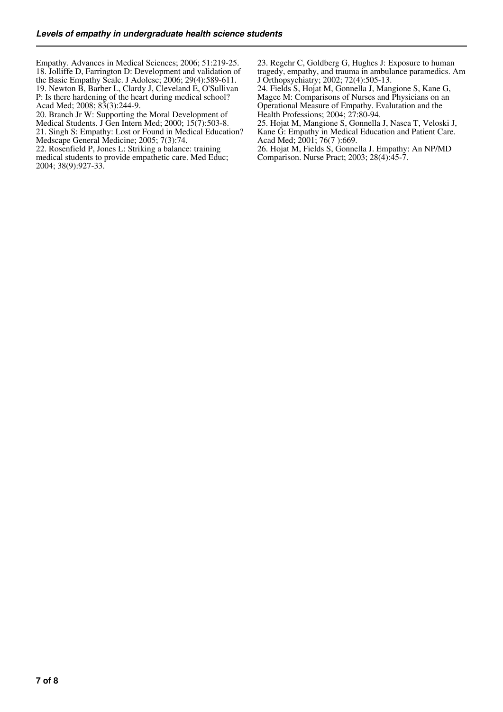Empathy. Advances in Medical Sciences; 2006; 51:219-25. 18. Jolliffe D, Farrington D: Development and validation of the Basic Empathy Scale. J Adolesc; 2006; 29(4):589-611. 19. Newton B, Barber L, Clardy J, Cleveland E, O'Sullivan P: Is there hardening of the heart during medical school? Acad Med; 2008; 83(3):244-9.

20. Branch Jr W: Supporting the Moral Development of Medical Students. J Gen Intern Med; 2000; 15(7):503-8.

21. Singh S: Empathy: Lost or Found in Medical Education? Medscape General Medicine; 2005; 7(3):74.

22. Rosenfield P, Jones L: Striking a balance: training medical students to provide empathetic care. Med Educ; 2004; 38(9):927-33.

23. Regehr C, Goldberg G, Hughes J: Exposure to human tragedy, empathy, and trauma in ambulance paramedics. Am J Orthopsychiatry; 2002; 72(4):505-13.

24. Fields S, Hojat M, Gonnella J, Mangione S, Kane G, Magee M: Comparisons of Nurses and Physicians on an Operational Measure of Empathy. Evalutation and the Health Professions; 2004; 27:80-94.

25. Hojat M, Mangione S, Gonnella J, Nasca T, Veloski J, Kane G: Empathy in Medical Education and Patient Care. Acad Med; 2001; 76(7 ):669.

26. Hojat M, Fields S, Gonnella J. Empathy: An NP/MD Comparison. Nurse Pract; 2003; 28(4):45-7.